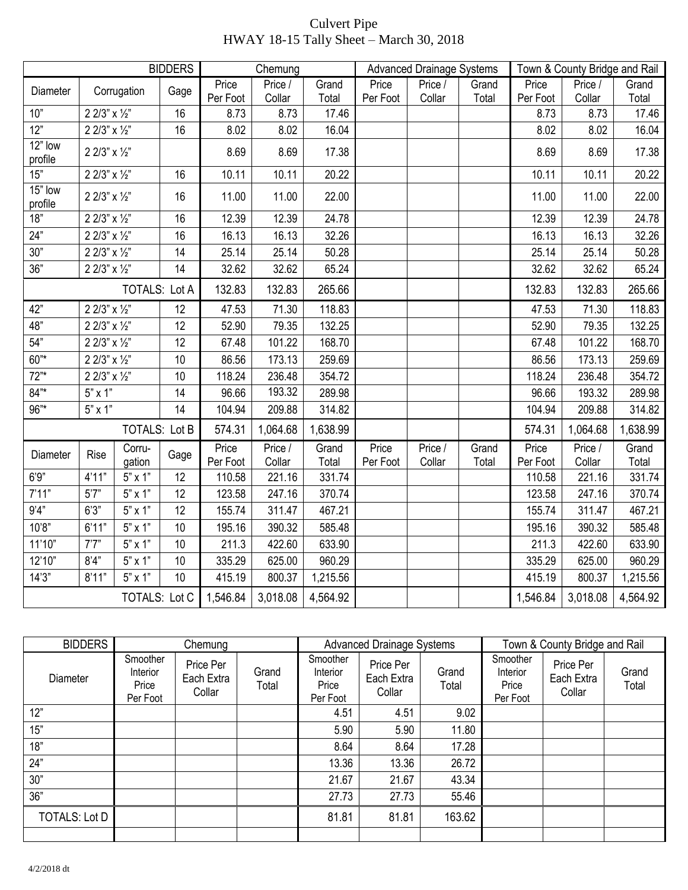## Culvert Pipe HWAY 18-15 Tally Sheet – March 30, 2018

| <b>BIDDERS</b>       |                      |                      |      | Chemung           |                   |                | <b>Advanced Drainage Systems</b> |                   |                | Town & County Bridge and Rail |                   |                |
|----------------------|----------------------|----------------------|------|-------------------|-------------------|----------------|----------------------------------|-------------------|----------------|-------------------------------|-------------------|----------------|
| Diameter             |                      | Corrugation          | Gage | Price             | Price /           | Grand          | Price                            | Price /           | Grand          | Price                         | Price /           | Grand          |
|                      |                      |                      |      | Per Foot          | Collar            | Total          | Per Foot                         | Collar            | Total          | Per Foot                      | Collar            | Total          |
| 10"                  | 2 2/3" x 1/2"        |                      | 16   | 8.73              | 8.73              | 17.46          |                                  |                   |                | 8.73                          | 8.73              | 17.46          |
| 12"                  | 2 2/3" x 1/2"        |                      | 16   | 8.02              | 8.02              | 16.04          |                                  |                   |                | 8.02                          | 8.02              | 16.04          |
| $12"$ low<br>profile | 2 2/3" x 1/2"        |                      |      | 8.69              | 8.69              | 17.38          |                                  |                   |                | 8.69                          | 8.69              | 17.38          |
| 15"                  | 2 2/3" x 1/2"        |                      | 16   | 10.11             | 10.11             | 20.22          |                                  |                   |                | 10.11                         | 10.11             | 20.22          |
| 15" low<br>profile   | 2 2/3" x 1/2"        |                      | 16   | 11.00             | 11.00             | 22.00          |                                  |                   |                | 11.00                         | 11.00             | 22.00          |
| 18"                  | 2 2/3" x 1/2"        |                      | 16   | 12.39             | 12.39             | 24.78          |                                  |                   |                | 12.39                         | 12.39             | 24.78          |
| 24"                  | 2 2/3" x 1/2"        |                      | 16   | 16.13             | 16.13             | 32.26          |                                  |                   |                | 16.13                         | 16.13             | 32.26          |
| 30"                  | 2 2/3" x 1/2"        |                      | 14   | 25.14             | 25.14             | 50.28          |                                  |                   |                | 25.14                         | 25.14             | 50.28          |
| 36"                  | 2 2/3" $\times$ 1/2" |                      | 14   | 32.62             | 32.62             | 65.24          |                                  |                   |                | 32.62                         | 32.62             | 65.24          |
|                      | <b>TOTALS: Lot A</b> |                      |      | 132.83            | 132.83            | 265.66         |                                  |                   |                | 132.83                        | 132.83            | 265.66         |
| 42"                  | 2 2/3" x 1/2"        |                      | 12   | 47.53             | 71.30             | 118.83         |                                  |                   |                | 47.53                         | 71.30             | 118.83         |
| 48"                  | 2 2/3" x 1/2"        |                      | 12   | 52.90             | 79.35             | 132.25         |                                  |                   |                | 52.90                         | 79.35             | 132.25         |
| 54"                  | 2 2/3" x 1/2"        |                      | 12   | 67.48             | 101.22            | 168.70         |                                  |                   |                | 67.48                         | 101.22            | 168.70         |
| $60^{"*}$            | 2 2/3" x 1/2"        |                      | 10   | 86.56             | 173.13            | 259.69         |                                  |                   |                | 86.56                         | 173.13            | 259.69         |
| 72"                  | 2 2/3" x 1/2"        |                      | 10   | 118.24            | 236.48            | 354.72         |                                  |                   |                | 118.24                        | 236.48            | 354.72         |
| $84"$ *              | $5" \times 1"$       |                      | 14   | 96.66             | 193.32            | 289.98         |                                  |                   |                | 96.66                         | 193.32            | 289.98         |
| 96"*                 | $5" \times 1"$       |                      | 14   | 104.94            | 209.88            | 314.82         |                                  |                   |                | 104.94                        | 209.88            | 314.82         |
|                      |                      | <b>TOTALS: Lot B</b> |      | 574.31            | 1,064.68          | 1,638.99       |                                  |                   |                | 574.31                        | 1,064.68          | 1,638.99       |
| Diameter             | <b>Rise</b>          | Corru-<br>gation     | Gage | Price<br>Per Foot | Price /<br>Collar | Grand<br>Total | Price<br>Per Foot                | Price /<br>Collar | Grand<br>Total | Price<br>Per Foot             | Price /<br>Collar | Grand<br>Total |
| 6'9"                 | 4'11"                | $5" \times 1"$       | 12   | 110.58            | 221.16            | 331.74         |                                  |                   |                | 110.58                        | 221.16            | 331.74         |
| 7'11"                | 5'7"                 | $5" \times 1"$       | 12   | 123.58            | 247.16            | 370.74         |                                  |                   |                | 123.58                        | 247.16            | 370.74         |
| 9'4"                 | 6'3''                | $5" \times 1"$       | 12   | 155.74            | 311.47            | 467.21         |                                  |                   |                | 155.74                        | 311.47            | 467.21         |
| 10'8"                | 6'11"                | $5" \times 1"$       | 10   | 195.16            | 390.32            | 585.48         |                                  |                   |                | 195.16                        | 390.32            | 585.48         |
| 11'10"               | 7'7''                | $5" \times 1"$       | 10   | 211.3             | 422.60            | 633.90         |                                  |                   |                | 211.3                         | 422.60            | 633.90         |
| 12'10"               | 8'4"                 | $5"$ x 1"            | 10   | 335.29            | 625.00            | 960.29         |                                  |                   |                | 335.29                        | 625.00            | 960.29         |
| 14'3''               | 8'11"                | $5" \times 1"$       | 10   | 415.19            | 800.37            | 1,215.56       |                                  |                   |                | 415.19                        | 800.37            | 1,215.56       |
| <b>TOTALS: Lot C</b> |                      |                      |      | 1,546.84          | 3,018.08          | 4,564.92       |                                  |                   |                | 1,546.84                      | 3,018.08          | 4,564.92       |

| <b>BIDDERS</b>       |                                           | Chemung                           |                |                                           | <b>Advanced Drainage Systems</b>  |                |                                           | Town & County Bridge and Rail     |                |
|----------------------|-------------------------------------------|-----------------------------------|----------------|-------------------------------------------|-----------------------------------|----------------|-------------------------------------------|-----------------------------------|----------------|
| Diameter             | Smoother<br>Interior<br>Price<br>Per Foot | Price Per<br>Each Extra<br>Collar | Grand<br>Total | Smoother<br>Interior<br>Price<br>Per Foot | Price Per<br>Each Extra<br>Collar | Grand<br>Total | Smoother<br>Interior<br>Price<br>Per Foot | Price Per<br>Each Extra<br>Collar | Grand<br>Total |
| 12"                  |                                           |                                   |                | 4.51                                      | 4.51                              | 9.02           |                                           |                                   |                |
| 15"                  |                                           |                                   |                | 5.90                                      | 5.90                              | 11.80          |                                           |                                   |                |
| 18"                  |                                           |                                   |                | 8.64                                      | 8.64                              | 17.28          |                                           |                                   |                |
| 24"                  |                                           |                                   |                | 13.36                                     | 13.36                             | 26.72          |                                           |                                   |                |
| 30"                  |                                           |                                   |                | 21.67                                     | 21.67                             | 43.34          |                                           |                                   |                |
| 36"                  |                                           |                                   |                | 27.73                                     | 27.73                             | 55.46          |                                           |                                   |                |
| <b>TOTALS: Lot D</b> |                                           |                                   |                | 81.81                                     | 81.81                             | 163.62         |                                           |                                   |                |
|                      |                                           |                                   |                |                                           |                                   |                |                                           |                                   |                |